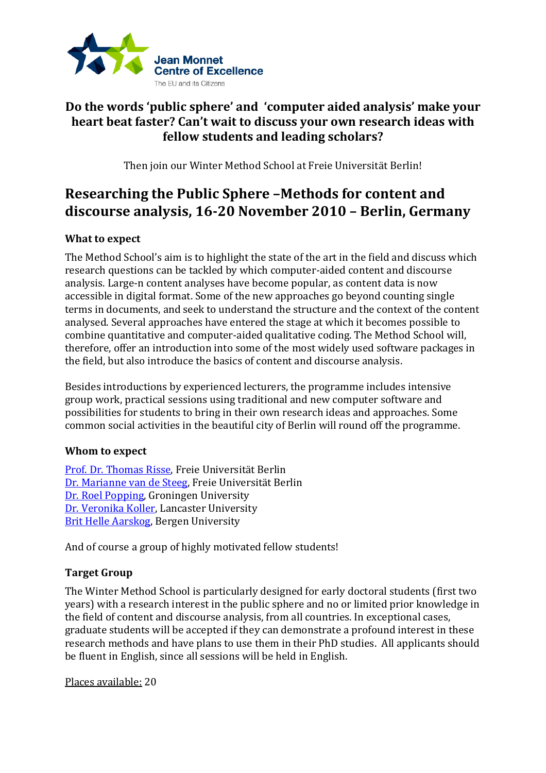

## **Do the words 'public sphere' and 'computer aided analysis' make your heart beat faster? Can't wait to discuss your own research ideas with fellow students and leading scholars?**

Then join our Winter Method School at Freie Universität Berlin!

# **Researching the Public Sphere –Methods for content and discourse analysis, 16-20 November 2010 – Berlin, Germany**

### **What to expect**

The Method School's aim is to highlight the state of the art in the field and discuss which research questions can be tackled by which computer-aided content and discourse analysis. Large-n content analyses have become popular, as content data is now accessible in digital format. Some of the new approaches go beyond counting single terms in documents, and seek to understand the structure and the context of the content analysed. Several approaches have entered the stage at which it becomes possible to combine quantitative and computer-aided qualitative coding. The Method School will, therefore, offer an introduction into some of the most widely used software packages in the field, but also introduce the basics of content and discourse analysis.

Besides introductions by experienced lecturers, the programme includes intensive group work, practical sessions using traditional and new computer software and possibilities for students to bring in their own research ideas and approaches. Some common social activities in the beautiful city of Berlin will round off the programme.

### **Whom to expect**

[Prof. Dr. Thomas Risse,](http://www.polsoz.fu-berlin.de/en/polwiss/forschung/international/jmce/winter_method_school/lecturers/Risse/index.html) Freie Universität Berlin [Dr. Marianne van de Steeg,](http://www.polsoz.fu-berlin.de/en/polwiss/forschung/international/jmce/winter_method_school/lecturers/van_de__steeg/index.html) Freie Universität Berlin [Dr. Roel Popping,](http://www.polsoz.fu-berlin.de/en/polwiss/forschung/international/jmce/winter_method_school/lecturers/roel_popping/index.html) Groningen University [Dr. Veronika Koller,](http://www.polsoz.fu-berlin.de/en/polwiss/forschung/international/jmce/winter_method_school/lecturers/Koller/index.html) Lancaster University [Brit Helle Aarskog,](http://www.polsoz.fu-berlin.de/en/polwiss/forschung/international/jmce/winter_method_school/lecturers/Brit_Helle_Aarskog/index.html) Bergen University

And of course a group of highly motivated fellow students!

### **Target Group**

The Winter Method School is particularly designed for early doctoral students (first two years) with a research interest in the public sphere and no or limited prior knowledge in the field of content and discourse analysis, from all countries. In exceptional cases, graduate students will be accepted if they can demonstrate a profound interest in these research methods and have plans to use them in their PhD studies. All applicants should be fluent in English, since all sessions will be held in English.

Places available: 20